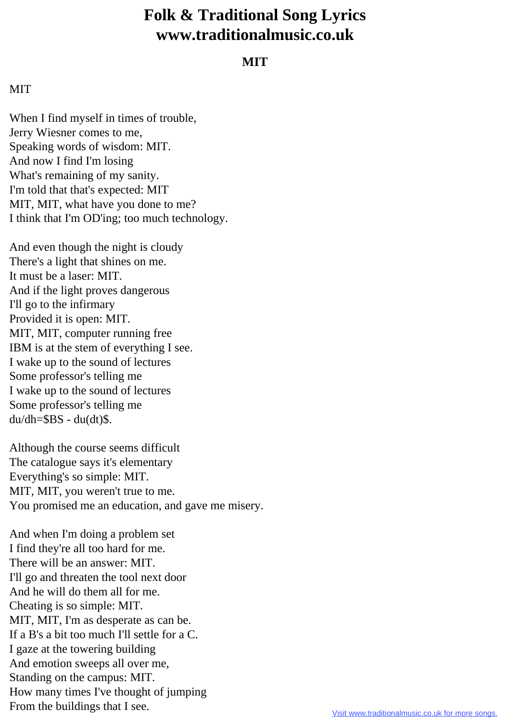## **Folk & Traditional Song Lyrics www.traditionalmusic.co.uk**

## **MIT**

## **MIT**

When I find myself in times of trouble, Jerry Wiesner comes to me, Speaking words of wisdom: MIT. And now I find I'm losing What's remaining of my sanity. I'm told that that's expected: MIT MIT, MIT, what have you done to me? I think that I'm OD'ing; too much technology.

And even though the night is cloudy There's a light that shines on me. It must be a laser: MIT. And if the light proves dangerous I'll go to the infirmary Provided it is open: MIT. MIT, MIT, computer running free IBM is at the stem of everything I see. I wake up to the sound of lectures Some professor's telling me I wake up to the sound of lectures Some professor's telling me  $du/dh = $BS - du(dt)$ \$.

Although the course seems difficult The catalogue says it's elementary Everything's so simple: MIT. MIT, MIT, you weren't true to me. You promised me an education, and gave me misery.

And when I'm doing a problem set I find they're all too hard for me. There will be an answer: MIT. I'll go and threaten the tool next door And he will do them all for me. Cheating is so simple: MIT. MIT, MIT, I'm as desperate as can be. If a B's a bit too much I'll settle for a C. I gaze at the towering building And emotion sweeps all over me, Standing on the campus: MIT. How many times I've thought of jumping From the buildings that I see.